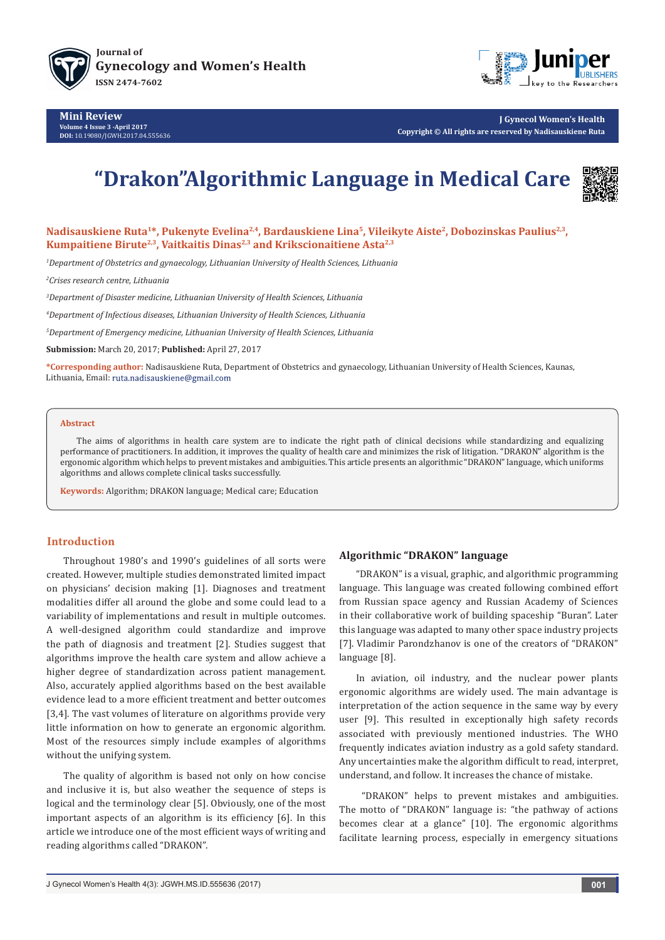



**J Gynecol Women's Health Copyright © All rights are reserved by Nadisauskiene Ruta**

# **"Drakon"Algorithmic Language in Medical Care**



Nadisauskiene Ruta<sup>1\*</sup>, Pukenyte Evelina<sup>2,4</sup>, Bardauskiene Lina<sup>5</sup>, Vileikyte Aiste<sup>2</sup>, Dobozinskas Paulius<sup>2,3</sup>, Kumpaitiene Birute<sup>2,3</sup>, Vaitkaitis Dinas<sup>2,3</sup> and Krikscionaitiene Asta<sup>2,3</sup>

*1 Department of Obstetrics and gynaecology, Lithuanian University of Health Sciences, Lithuania* 

*2 Crises research centre, Lithuania*

*3 Department of Disaster medicine, Lithuanian University of Health Sciences, Lithuania*

*4 Department of Infectious diseases, Lithuanian University of Health Sciences, Lithuania*

*5 Department of Emergency medicine, Lithuanian University of Health Sciences, Lithuania*

**Submission:** March 20, 2017; **Published:** April 27, 2017

**\*Corresponding author:** Nadisauskiene Ruta, Department of Obstetrics and gynaecology, Lithuanian University of Health Sciences, Kaunas, Lithuania, Email: ruta.nadisauskiene@gmail.com

#### **Abstract**

The aims of algorithms in health care system are to indicate the right path of clinical decisions while standardizing and equalizing performance of practitioners. In addition, it improves the quality of health care and minimizes the risk of litigation. "DRAKON" algorithm is the ergonomic algorithm which helps to prevent mistakes and ambiguities. This article presents an algorithmic "DRAKON" language, which uniforms algorithms and allows complete clinical tasks successfully.

**Keywords:** Algorithm; DRAKON language; Medical care; Education

## **Introduction**

Throughout 1980's and 1990's guidelines of all sorts were created. However, multiple studies demonstrated limited impact on physicians' decision making [1]. Diagnoses and treatment modalities differ all around the globe and some could lead to a variability of implementations and result in multiple outcomes. A well-designed algorithm could standardize and improve the path of diagnosis and treatment [2]. Studies suggest that algorithms improve the health care system and allow achieve a higher degree of standardization across patient management. Also, accurately applied algorithms based on the best available evidence lead to a more efficient treatment and better outcomes [3,4]. The vast volumes of literature on algorithms provide very little information on how to generate an ergonomic algorithm. Most of the resources simply include examples of algorithms without the unifying system.

The quality of algorithm is based not only on how concise and inclusive it is, but also weather the sequence of steps is logical and the terminology clear [5]. Obviously, one of the most important aspects of an algorithm is its efficiency [6]. In this article we introduce one of the most efficient ways of writing and reading algorithms called "DRAKON".

## **Algorithmic "DRAKON" language**

"DRAKON" is a visual, graphic, and algorithmic programming language. This language was created following combined effort from Russian space agency and Russian Academy of Sciences in their collaborative work of building spaceship "Buran". Later this language was adapted to many other space industry projects [7]. Vladimir Parоndzhanov is one of the creators of "DRAKON" language [8].

In aviation, oil industry, and the nuclear power plants ergonomic algorithms are widely used. The main advantage is interpretation of the action sequence in the same way by every user [9]. This resulted in exceptionally high safety records associated with previously mentioned industries. The WHO frequently indicates aviation industry as a gold safety standard. Any uncertainties make the algorithm difficult to read, interpret, understand, and follow. It increases the chance of mistake.

 "DRAKON" helps to prevent mistakes and ambiguities. The motto of "DRAKON" language is: "the pathway of actions becomes clear at a glance" [10]. The ergonomic algorithms facilitate learning process, especially in emergency situations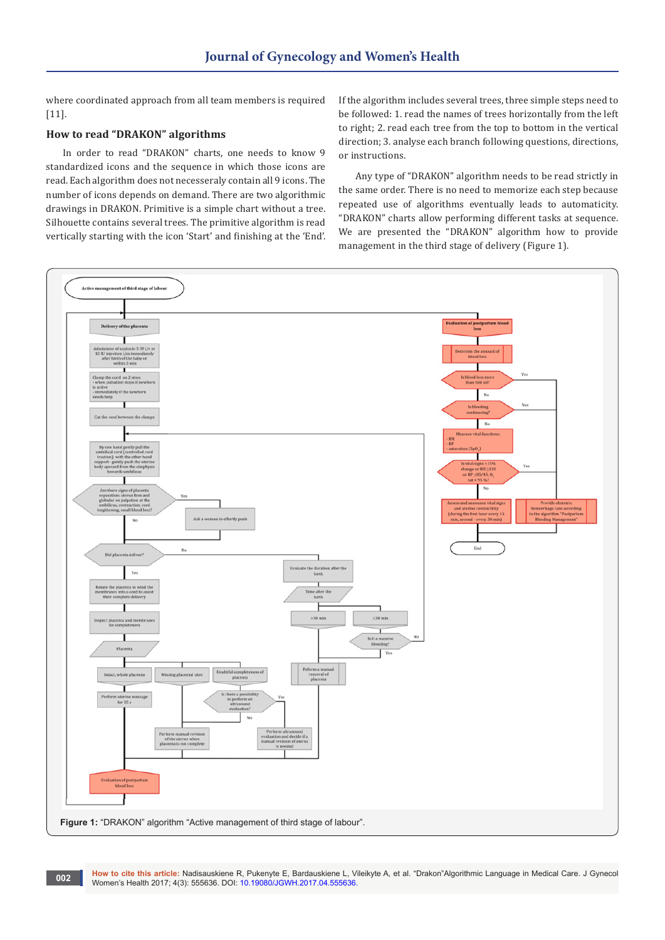where coordinated approach from all team members is required [11].

## **How to read "DRAKON" algorithms**

In order to read "DRAKON" charts, one needs to know 9 standardized icons and the sequence in which those icons are read. Each algorithm does not necesseraly contain all 9 icons. The number of icons depends on demand. There are two algorithmic drawings in DRAKON. Primitive is a simple chart without a tree. Silhouette contains several trees. The primitive algorithm is read vertically starting with the icon 'Start' and finishing at the 'End'. If the algorithm includes several trees, three simple steps need to be followed: 1. read the names of trees horizontally from the left to right; 2. read each tree from the top to bottom in the vertical direction; 3. analyse each branch following questions, directions, or instructions.

Any type of "DRAKON" algorithm needs to be read strictly in the same order. There is no need to memorize each step because repeated use of algorithms eventually leads to automaticity. "DRAKON" charts allow performing different tasks at sequence. We are presented the "DRAKON" algorithm how to provide management in the third stage of delivery (Figure 1).